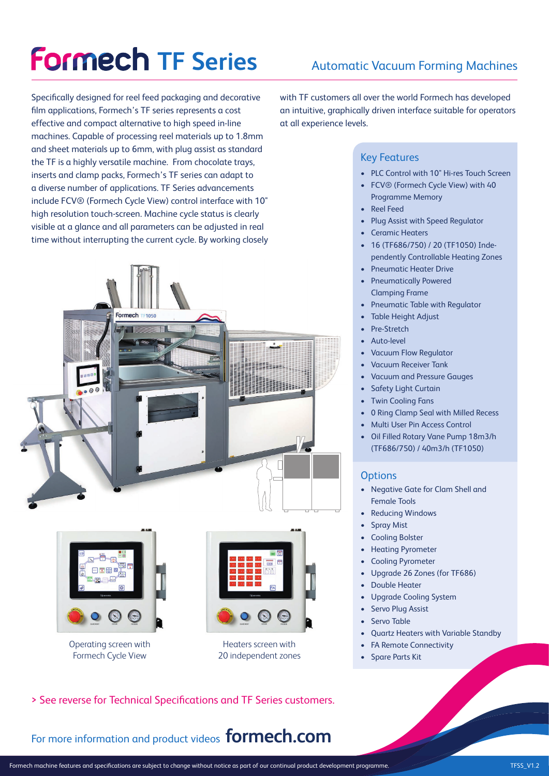# **Formech TF Series**

Specifically designed for reel feed packaging and decorative film applications, Formech's TF series represents a cost effective and compact alternative to high speed in-line machines. Capable of processing reel materials up to 1.8mm and sheet materials up to 6mm, with plug assist as standard the TF is a highly versatile machine. From chocolate trays, inserts and clamp packs, Formech's TF series can adapt to a diverse number of applications. TF Series advancements include FCV® (Formech Cycle View) control interface with 10" high resolution touch-screen. Machine cycle status is clearly visible at a glance and all parameters can be adjusted in real time without interrupting the current cycle. By working closely





Operating screen with Formech Cycle View



Heaters screen with 20 independent zones

## Automatic Vacuum Forming Machines

with TF customers all over the world Formech has developed an intuitive, graphically driven interface suitable for operators at all experience levels.

#### Key Features

- PLC Control with 10" Hi-res Touch Screen
- FCV® (Formech Cycle View) with 40 Programme Memory
- **Reel Feed**
- Plug Assist with Speed Regulator
- Ceramic Heaters
- 16 (TF686/750) / 20 (TF1050) Independently Controllable Heating Zones
- Pneumatic Heater Drive
- Pneumatically Powered Clamping Frame
- Pneumatic Table with Regulator
- Table Height Adjust
- Pre-Stretch
- Auto-level
- Vacuum Flow Regulator
- Vacuum Receiver Tank
- Vacuum and Pressure Gauges
- Safety Light Curtain
- Twin Cooling Fans
- 0 Ring Clamp Seal with Milled Recess
- Multi User Pin Access Control
- Oil Filled Rotary Vane Pump 18m3/h (TF686/750) / 40m3/h (TF1050)

#### **Options**

- Negative Gate for Clam Shell and Female Tools
- **Reducing Windows**
- **Spray Mist**
- Cooling Bolster
- Heating Pyrometer
- Cooling Pyrometer
- Upgrade 26 Zones (for TF686)
- **Double Heater**
- Upgrade Cooling System
- Servo Plug Assist
- Servo Table
- Quartz Heaters with Variable Standby
- FA Remote Connectivity
- Spare Parts Kit

> See reverse for Technical Specifications and TF Series customers.

For more information and product videos **formech.com**